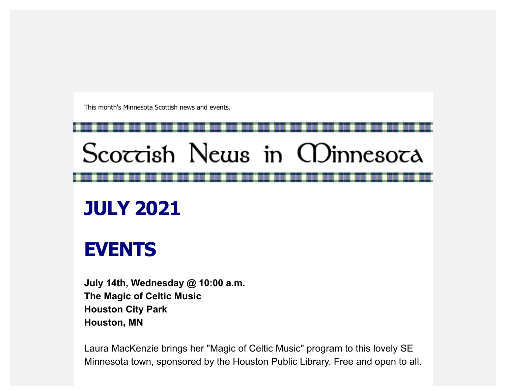This month's Minnesota Scottish news and events.

## Scoccish News in CDinnesoca

## **JULY 2021**

## **EVENTS**

**July 14th, Wednesday @ 10:00 a.m. The Magic of Celtic Music Houston City Park Houston, MN**

Laura MacKenzie brings her "Magic of Celtic Music" program to this lovely SE Minnesota town, sponsored by the Houston Public Library. Free and open to all.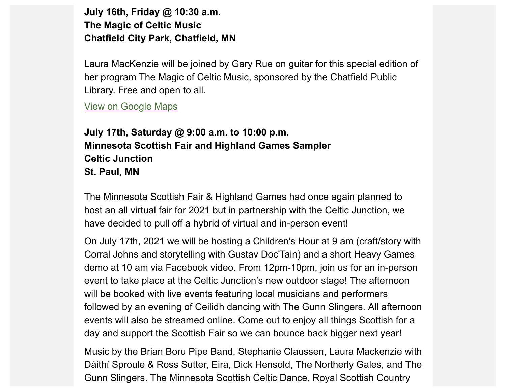**July 16th, Friday @ 10:30 a.m. The Magic of Celtic Music Chatfield City Park, Chatfield, MN**

Laura MacKenzie will be joined by Gary Rue on guitar for this special edition of her program The Magic of Celtic Music, sponsored by the Chatfield Public Library. Free and open to all.

[View on Google Maps](https://scottishamericancentermn.us10.list-manage.com/track/click?u=2fe4099001736ac4b948473e4&id=22376653a9&e=6b0ba04b53)

**July 17th, Saturday @ 9:00 a.m. to 10:00 p.m. Minnesota Scottish Fair and Highland Games Sampler Celtic Junction St. Paul, MN**

The Minnesota Scottish Fair & Highland Games had once again planned to host an all virtual fair for 2021 but in partnership with the Celtic Junction, we have decided to pull off a hybrid of virtual and in-person event!

On July 17th, 2021 we will be hosting a Children's Hour at 9 am (craft/story with Corral Johns and storytelling with Gustav Doc'Tain) and a short Heavy Games demo at 10 am via Facebook video. From 12pm-10pm, join us for an in-person event to take place at the Celtic Junction's new outdoor stage! The afternoon will be booked with live events featuring local musicians and performers followed by an evening of Ceilidh dancing with The Gunn Slingers. All afternoon events will also be streamed online. Come out to enjoy all things Scottish for a day and support the Scottish Fair so we can bounce back bigger next year!

Music by the Brian Boru Pipe Band, Stephanie Claussen, Laura Mackenzie with Dáithí Sproule & Ross Sutter, Eira, Dick Hensold, The Northerly Gales, and The Gunn Slingers. The Minnesota Scottish Celtic Dance, Royal Scottish Country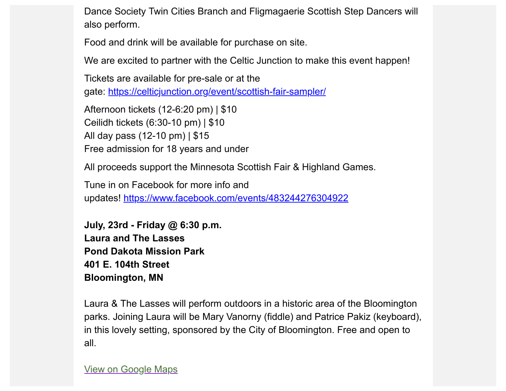Dance Society Twin Cities Branch and Fligmagaerie Scottish Step Dancers will also perform.

Food and drink will be available for purchase on site.

We are excited to partner with the Celtic Junction to make this event happen!

Tickets are available for pre-sale or at the gate: [https://celticjunction.org/event/scottish-fair-sampler/](https://scottishamericancentermn.us10.list-manage.com/track/click?u=2fe4099001736ac4b948473e4&id=4be4330fad&e=6b0ba04b53)

Afternoon tickets (12-6:20 pm) | \$10 Ceilidh tickets (6:30-10 pm) | \$10 All day pass (12-10 pm) | \$15 Free admission for 18 years and under

All proceeds support the Minnesota Scottish Fair & Highland Games.

Tune in on Facebook for more info and updates! [https://www.facebook.com/events/483244276304922](https://scottishamericancentermn.us10.list-manage.com/track/click?u=2fe4099001736ac4b948473e4&id=95a62cceae&e=6b0ba04b53)

**July, 23rd - Friday @ 6:30 p.m. Laura and The Lasses Pond Dakota Mission Park 401 E. 104th Street Bloomington, MN**

Laura & The Lasses will perform outdoors in a historic area of the Bloomington parks. Joining Laura will be Mary Vanorny (fiddle) and Patrice Pakiz (keyboard), in this lovely setting, sponsored by the City of Bloomington. Free and open to all.

[View on Google Maps](https://scottishamericancentermn.us10.list-manage.com/track/click?u=2fe4099001736ac4b948473e4&id=44e96f851d&e=6b0ba04b53)